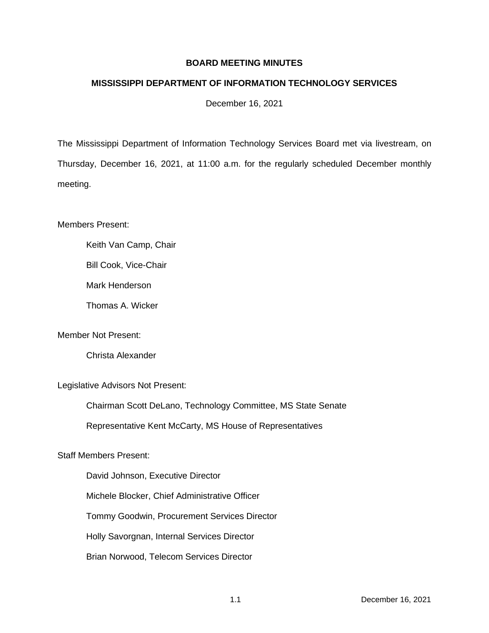## **BOARD MEETING MINUTES**

## **MISSISSIPPI DEPARTMENT OF INFORMATION TECHNOLOGY SERVICES**

December 16, 2021

The Mississippi Department of Information Technology Services Board met via livestream, on Thursday, December 16, 2021, at 11:00 a.m. for the regularly scheduled December monthly meeting.

Members Present:

Keith Van Camp, Chair

Bill Cook, Vice-Chair

Mark Henderson

Thomas A. Wicker

Member Not Present:

Christa Alexander

Legislative Advisors Not Present:

Chairman Scott DeLano, Technology Committee, MS State Senate

Representative Kent McCarty, MS House of Representatives

Staff Members Present:

David Johnson, Executive Director Michele Blocker, Chief Administrative Officer Tommy Goodwin, Procurement Services Director Holly Savorgnan, Internal Services Director Brian Norwood, Telecom Services Director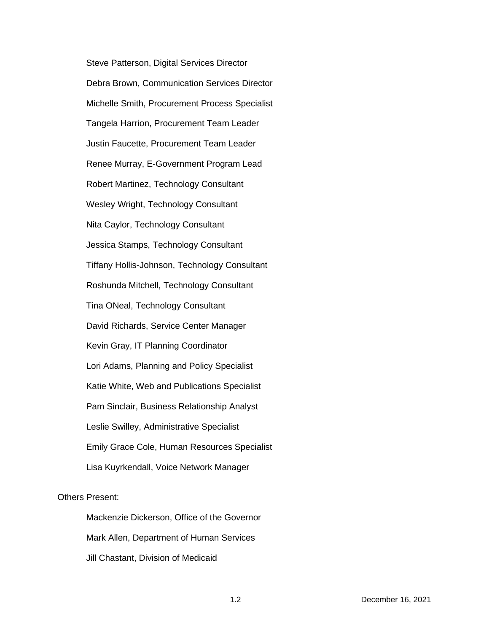Steve Patterson, Digital Services Director Debra Brown, Communication Services Director Michelle Smith, Procurement Process Specialist Tangela Harrion, Procurement Team Leader Justin Faucette, Procurement Team Leader Renee Murray, E-Government Program Lead Robert Martinez, Technology Consultant Wesley Wright, Technology Consultant Nita Caylor, Technology Consultant Jessica Stamps, Technology Consultant Tiffany Hollis-Johnson, Technology Consultant Roshunda Mitchell, Technology Consultant Tina ONeal, Technology Consultant David Richards, Service Center Manager Kevin Gray, IT Planning Coordinator Lori Adams, Planning and Policy Specialist Katie White, Web and Publications Specialist Pam Sinclair, Business Relationship Analyst Leslie Swilley, Administrative Specialist Emily Grace Cole, Human Resources Specialist Lisa Kuyrkendall, Voice Network Manager

# Others Present:

Mackenzie Dickerson, Office of the Governor Mark Allen, Department of Human Services Jill Chastant, Division of Medicaid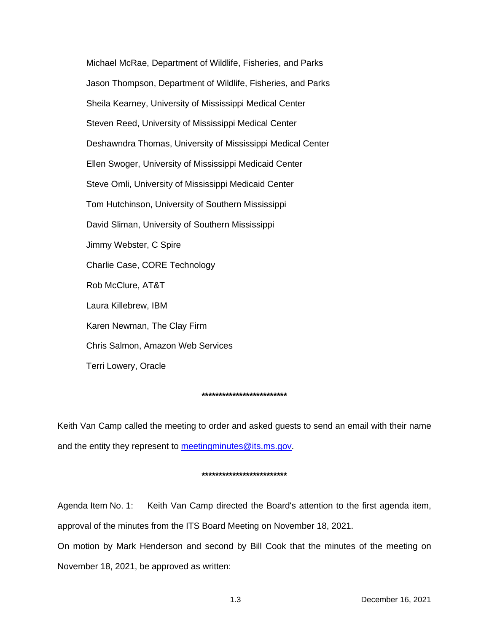Michael McRae, Department of Wildlife, Fisheries, and Parks Jason Thompson, Department of Wildlife, Fisheries, and Parks Sheila Kearney, University of Mississippi Medical Center Steven Reed, University of Mississippi Medical Center Deshawndra Thomas, University of Mississippi Medical Center Ellen Swoger, University of Mississippi Medicaid Center Steve Omli, University of Mississippi Medicaid Center Tom Hutchinson, University of Southern Mississippi David Sliman, University of Southern Mississippi Jimmy Webster, C Spire Charlie Case, CORE Technology Rob McClure, AT&T Laura Killebrew, IBM Karen Newman, The Clay Firm Chris Salmon, Amazon Web Services Terri Lowery, Oracle

### **\*\*\*\*\*\*\*\*\*\*\*\*\*\*\*\*\*\*\*\*\*\*\*\*\***

Keith Van Camp called the meeting to order and asked guests to send an email with their name and the entity they represent to [meetingminutes@its.ms.gov.](mailto:meetingminutes@its.ms.gov)

### **\*\*\*\*\*\*\*\*\*\*\*\*\*\*\*\*\*\*\*\*\*\*\*\*\***

Agenda Item No. 1: Keith Van Camp directed the Board's attention to the first agenda item, approval of the minutes from the ITS Board Meeting on November 18, 2021.

On motion by Mark Henderson and second by Bill Cook that the minutes of the meeting on November 18, 2021, be approved as written: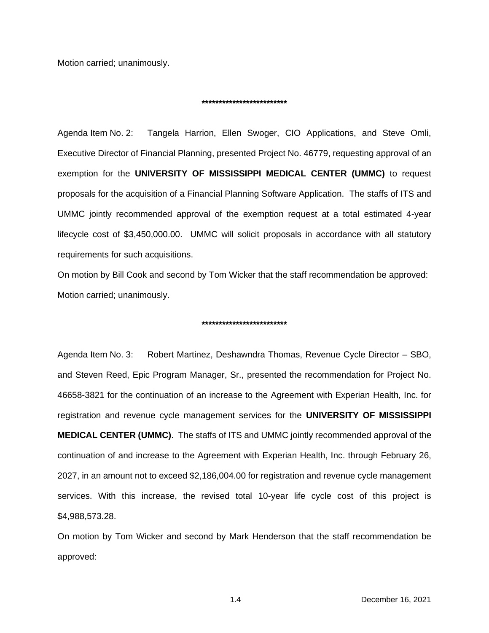Motion carried; unanimously.

#### **\*\*\*\*\*\*\*\*\*\*\*\*\*\*\*\*\*\*\*\*\*\*\*\*\***

Agenda Item No. 2: Tangela Harrion, Ellen Swoger, CIO Applications, and Steve Omli, Executive Director of Financial Planning, presented Project No. 46779, requesting approval of an exemption for the **UNIVERSITY OF MISSISSIPPI MEDICAL CENTER (UMMC)** to request proposals for the acquisition of a Financial Planning Software Application. The staffs of ITS and UMMC jointly recommended approval of the exemption request at a total estimated 4-year lifecycle cost of \$3,450,000.00. UMMC will solicit proposals in accordance with all statutory requirements for such acquisitions.

On motion by Bill Cook and second by Tom Wicker that the staff recommendation be approved: Motion carried; unanimously.

#### **\*\*\*\*\*\*\*\*\*\*\*\*\*\*\*\*\*\*\*\*\*\*\*\*\***

Agenda Item No. 3: Robert Martinez, Deshawndra Thomas, Revenue Cycle Director – SBO, and Steven Reed, Epic Program Manager, Sr., presented the recommendation for Project No. 46658-3821 for the continuation of an increase to the Agreement with Experian Health, Inc. for registration and revenue cycle management services for the **UNIVERSITY OF MISSISSIPPI MEDICAL CENTER (UMMC)**. The staffs of ITS and UMMC jointly recommended approval of the continuation of and increase to the Agreement with Experian Health, Inc. through February 26, 2027, in an amount not to exceed \$2,186,004.00 for registration and revenue cycle management services. With this increase, the revised total 10-year life cycle cost of this project is \$4,988,573.28.

On motion by Tom Wicker and second by Mark Henderson that the staff recommendation be approved: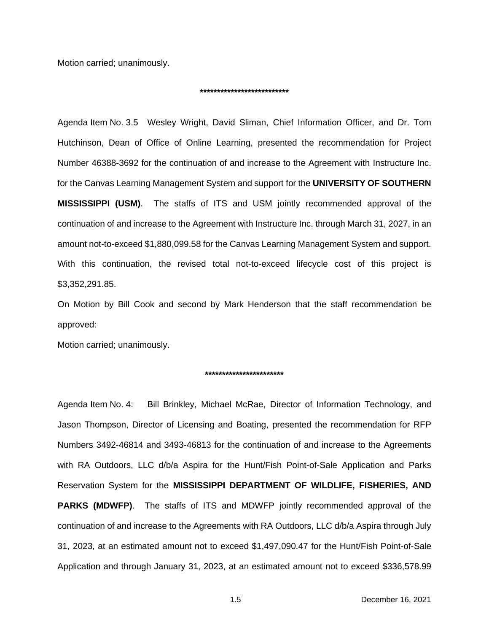Motion carried; unanimously.

#### **\*\*\*\*\*\*\*\*\*\*\*\*\*\*\*\*\*\*\*\*\*\*\*\*\*\***

Agenda Item No. 3.5 Wesley Wright, David Sliman, Chief Information Officer, and Dr. Tom Hutchinson, Dean of Office of Online Learning, presented the recommendation for Project Number 46388-3692 for the continuation of and increase to the Agreement with Instructure Inc. for the Canvas Learning Management System and support for the **UNIVERSITY OF SOUTHERN MISSISSIPPI (USM)**. The staffs of ITS and USM jointly recommended approval of the continuation of and increase to the Agreement with Instructure Inc. through March 31, 2027, in an amount not-to-exceed \$1,880,099.58 for the Canvas Learning Management System and support. With this continuation, the revised total not-to-exceed lifecycle cost of this project is \$3,352,291.85.

On Motion by Bill Cook and second by Mark Henderson that the staff recommendation be approved:

Motion carried; unanimously.

### **\*\*\*\*\*\*\*\*\*\*\*\*\*\*\*\*\*\*\*\*\*\*\***

Agenda Item No. 4: Bill Brinkley, Michael McRae, Director of Information Technology, and Jason Thompson, Director of Licensing and Boating, presented the recommendation for RFP Numbers 3492-46814 and 3493-46813 for the continuation of and increase to the Agreements with RA Outdoors, LLC d/b/a Aspira for the Hunt/Fish Point-of-Sale Application and Parks Reservation System for the **MISSISSIPPI DEPARTMENT OF WILDLIFE, FISHERIES, AND PARKS (MDWFP)**. The staffs of ITS and MDWFP jointly recommended approval of the continuation of and increase to the Agreements with RA Outdoors, LLC d/b/a Aspira through July 31, 2023, at an estimated amount not to exceed \$1,497,090.47 for the Hunt/Fish Point-of-Sale Application and through January 31, 2023, at an estimated amount not to exceed \$336,578.99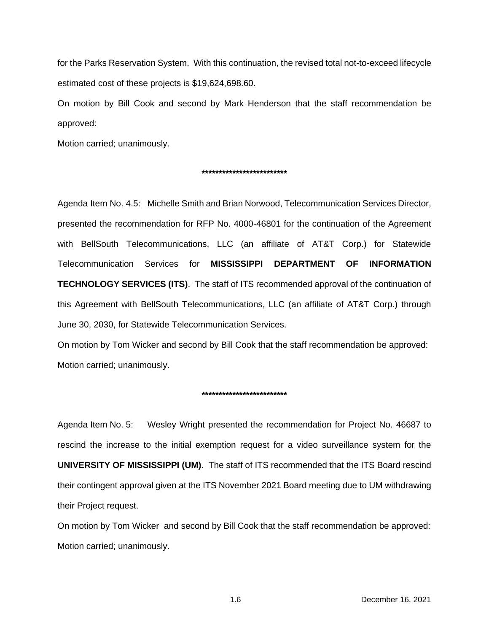for the Parks Reservation System. With this continuation, the revised total not-to-exceed lifecycle estimated cost of these projects is \$19,624,698.60.

On motion by Bill Cook and second by Mark Henderson that the staff recommendation be approved:

Motion carried; unanimously.

### **\*\*\*\*\*\*\*\*\*\*\*\*\*\*\*\*\*\*\*\*\*\*\*\*\***

Agenda Item No. 4.5: Michelle Smith and Brian Norwood, Telecommunication Services Director, presented the recommendation for RFP No. 4000-46801 for the continuation of the Agreement with BellSouth Telecommunications, LLC (an affiliate of AT&T Corp.) for Statewide Telecommunication Services for **MISSISSIPPI DEPARTMENT OF INFORMATION TECHNOLOGY SERVICES (ITS)**. The staff of ITS recommended approval of the continuation of this Agreement with BellSouth Telecommunications, LLC (an affiliate of AT&T Corp.) through June 30, 2030, for Statewide Telecommunication Services.

On motion by Tom Wicker and second by Bill Cook that the staff recommendation be approved: Motion carried; unanimously.

### **\*\*\*\*\*\*\*\*\*\*\*\*\*\*\*\*\*\*\*\*\*\*\*\*\***

Agenda Item No. 5: Wesley Wright presented the recommendation for Project No. 46687 to rescind the increase to the initial exemption request for a video surveillance system for the **UNIVERSITY OF MISSISSIPPI (UM)**. The staff of ITS recommended that the ITS Board rescind their contingent approval given at the ITS November 2021 Board meeting due to UM withdrawing their Project request.

On motion by Tom Wicker and second by Bill Cook that the staff recommendation be approved: Motion carried; unanimously.